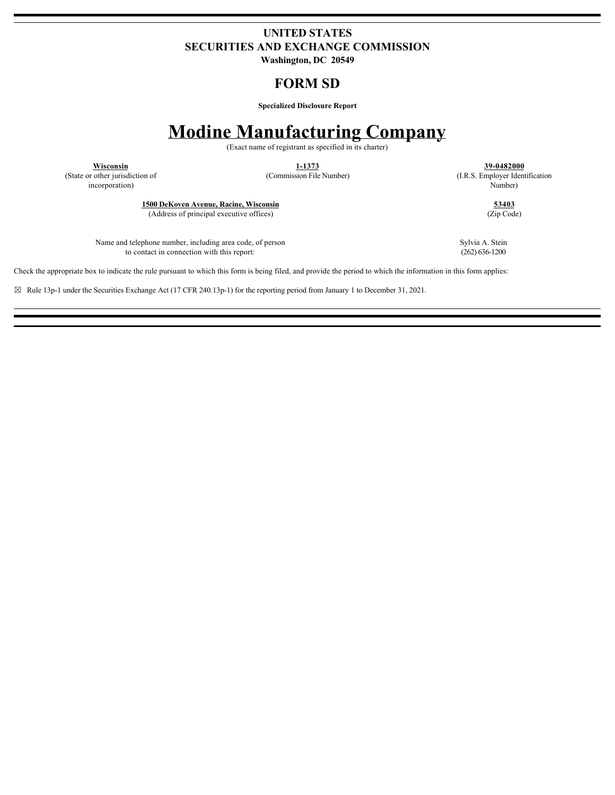# **UNITED STATES SECURITIES AND EXCHANGE COMMISSION**

**Washington, DC 20549**

# **FORM SD**

**Specialized Disclosure Report**

# **Modine Manufacturing Company**

(Exact name of registrant as specified in its charter)

**Wisconsin**<br> **1-1373 39-0482000**<br> **1-1373 39-0482000**<br> **1-1373 1373 1373 13.**<br> **1-1373 13.**<br> **1-1373 13.**<br> **1 11.**<br> **11.**<br> **11.**<br> **11.**<br> **11.**<br> **11.**<br> **11.**<br> **11.**<br> **11.**<br> **11.**<br> **11.**<br> **11.**<br> **11.**<br> **11.**<br> (I.R.S. Employer Identification incorporation) Number)

> **1500 DeKoven Avenue, Racine, Wisconsin 53403** (Address of principal executive offices) (Zip Code)

Name and telephone number, including area code, of person Sylvia A. Stein<br>to contact in connection with this report: (262) 636-1200 to contact in connection with this report:

Check the appropriate box to indicate the rule pursuant to which this form is being filed, and provide the period to which the information in this form applies:

☒ Rule 13p-1 under the Securities Exchange Act (17 CFR 240.13p-1) for the reporting period from January 1 to December 31, 2021.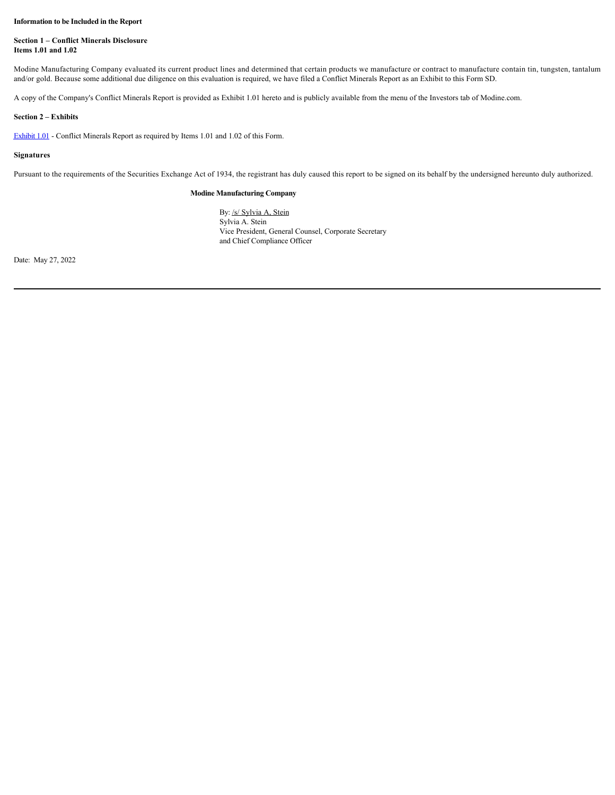**Information to be Included in the Report**

# **Section 1 – Conflict Minerals Disclosure Items 1.01 and 1.02**

Modine Manufacturing Company evaluated its current product lines and determined that certain products we manufacture or contract to manufacture contain tin, tungsten, tantalum and/or gold. Because some additional due diligence on this evaluation is required, we have filed a Conflict Minerals Report as an Exhibit to this Form SD.

A copy of the Company's Conflict Minerals Report is provided as Exhibit 1.01 hereto and is publicly available from the menu of the Investors tab of Modine.com.

# **Section 2 – Exhibits**

Exhibit 1.01 - Conflict Minerals Report as required by Items 1.01 and 1.02 of this Form.

# **Signatures**

Pursuant to the requirements of the Securities Exchange Act of 1934, the registrant has duly caused this report to be signed on its behalf by the undersigned hereunto duly authorized.

# **Modine Manufacturing Company**

By: /s/ Sylvia A, Stein Sylvia A. Stein Vice President, General Counsel, Corporate Secretary and Chief Compliance Officer

Date: May 27, 2022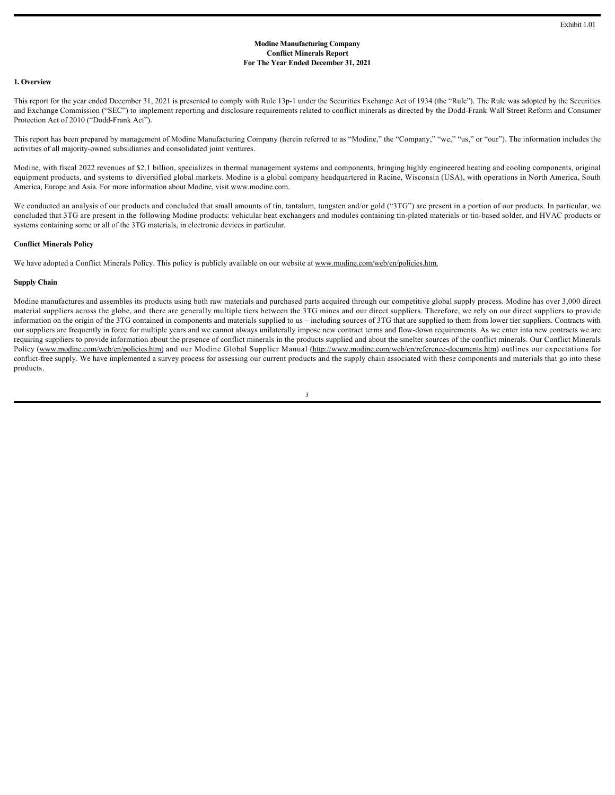#### **Modine Manufacturing Company Conflict Minerals Report For The Year Ended December 31, 2021**

#### **1. Overview**

This report for the year ended December 31, 2021 is presented to comply with Rule 13p-1 under the Securities Exchange Act of 1934 (the "Rule"). The Rule was adopted by the Securities and Exchange Commission ("SEC") to implement reporting and disclosure requirements related to conflict minerals as directed by the Dodd-Frank Wall Street Reform and Consumer Protection Act of 2010 ("Dodd-Frank Act").

This report has been prepared by management of Modine Manufacturing Company (herein referred to as "Modine," the "Company," "we," "us," or "our"). The information includes the activities of all majority-owned subsidiaries and consolidated joint ventures.

Modine, with fiscal 2022 revenues of \$2.1 billion, specializes in thermal management systems and components, bringing highly engineered heating and cooling components, original equipment products, and systems to diversified global markets. Modine is a global company headquartered in Racine, Wisconsin (USA), with operations in North America, South America, Europe and Asia. For more information about Modine, visit www.modine.com.

We conducted an analysis of our products and concluded that small amounts of tin, tantalum, tungsten and/or gold ("3TG") are present in a portion of our products. In particular, we concluded that 3TG are present in the following Modine products: vehicular heat exchangers and modules containing tin-plated materials or tin-based solder, and HVAC products or systems containing some or all of the 3TG materials, in electronic devices in particular.

## **Conflict Minerals Policy**

We have adopted a Conflict Minerals Policy. This policy is publicly available on our website at www.modine.com/web/en/policies.htm.

#### **Supply Chain**

Modine manufactures and assembles its products using both raw materials and purchased parts acquired through our competitive global supply process. Modine has over 3,000 direct material suppliers across the globe, and there are generally multiple tiers between the 3TG mines and our direct suppliers. Therefore, we rely on our direct suppliers to provide information on the origin of the 3TG contained in components and materials supplied to us – including sources of 3TG that are supplied to them from lower tier suppliers. Contracts with our suppliers are frequently in force for multiple years and we cannot always unilaterally impose new contract terms and flow-down requirements. As we enter into new contracts we are requiring suppliers to provide information about the presence of conflict minerals in the products supplied and about the smelter sources of the conflict minerals. Our Conflict Minerals Policy (www.modine.com/web/en/policies.htm) and our Modine Global Supplier Manual (http://www.modine.com/web/en/reference-documents.htm) outlines our expectations for conflict-free supply. We have implemented a survey process for assessing our current products and the supply chain associated with these components and materials that go into these products.

| ۰, |
|----|
|    |
| I  |
| ٧  |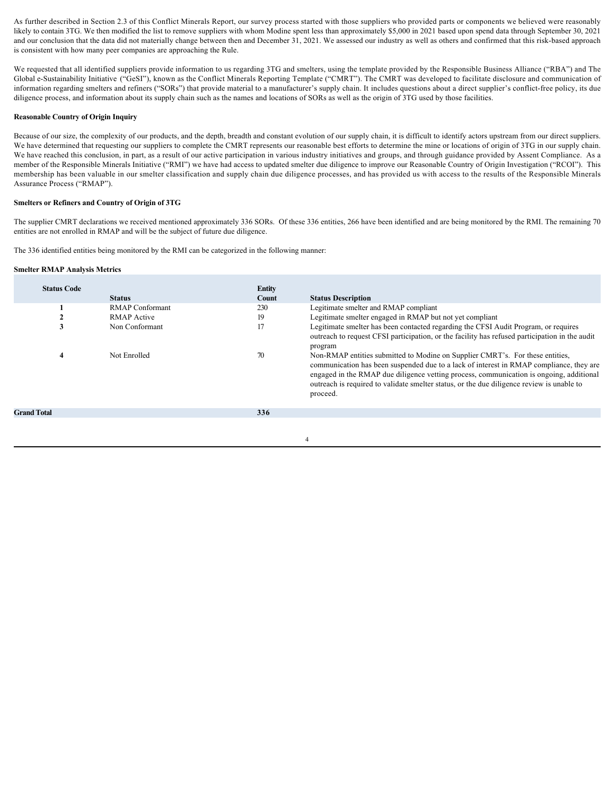As further described in Section 2.3 of this Conflict Minerals Report, our survey process started with those suppliers who provided parts or components we believed were reasonably likely to contain 3TG. We then modified the list to remove suppliers with whom Modine spent less than approximately \$5,000 in 2021 based upon spend data through September 30, 2021 and our conclusion that the data did not materially change between then and December 31, 2021. We assessed our industry as well as others and confirmed that this risk-based approach is consistent with how many peer companies are approaching the Rule.

We requested that all identified suppliers provide information to us regarding 3TG and smelters, using the template provided by the Responsible Business Alliance ("RBA") and The Global e-Sustainability Initiative ("GeSI"), known as the Conflict Minerals Reporting Template ("CMRT"). The CMRT was developed to facilitate disclosure and communication of information regarding smelters and refiners ("SORs") that provide material to a manufacturer's supply chain. It includes questions about a direct supplier's conflict-free policy, its due diligence process, and information about its supply chain such as the names and locations of SORs as well as the origin of 3TG used by those facilities.

#### **Reasonable Country of Origin Inquiry**

Because of our size, the complexity of our products, and the depth, breadth and constant evolution of our supply chain, it is difficult to identify actors upstream from our direct suppliers. We have determined that requesting our suppliers to complete the CMRT represents our reasonable best efforts to determine the mine or locations of origin of 3TG in our supply chain. We have reached this conclusion, in part, as a result of our active participation in various industry initiatives and groups, and through guidance provided by Assent Compliance. As a member of the Responsible Minerals Initiative ("RMI") we have had access to updated smelter due diligence to improve our Reasonable Country of Origin Investigation ("RCOI"). This membership has been valuable in our smelter classification and supply chain due diligence processes, and has provided us with access to the results of the Responsible Minerals Assurance Process ("RMAP").

## **Smelters or Refiners and Country of Origin of 3TG**

The supplier CMRT declarations we received mentioned approximately 336 SORs. Of these 336 entities, 266 have been identified and are being monitored by the RMI. The remaining 70 entities are not enrolled in RMAP and will be the subject of future due diligence.

The 336 identified entities being monitored by the RMI can be categorized in the following manner:

## **Smelter RMAP Analysis Metrics**

| <b>Status Code</b> | <b>Status</b>          | <b>Entity</b><br>Count | <b>Status Description</b>                                                                                                                                                                                                                                                                                                                                                    |
|--------------------|------------------------|------------------------|------------------------------------------------------------------------------------------------------------------------------------------------------------------------------------------------------------------------------------------------------------------------------------------------------------------------------------------------------------------------------|
|                    | <b>RMAP</b> Conformant | 230                    | Legitimate smelter and RMAP compliant                                                                                                                                                                                                                                                                                                                                        |
|                    | RMAP Active            | 19                     | Legitimate smelter engaged in RMAP but not yet compliant                                                                                                                                                                                                                                                                                                                     |
| 3                  | Non Conformant         | 17                     | Legitimate smelter has been contacted regarding the CFSI Audit Program, or requires<br>outreach to request CFSI participation, or the facility has refused participation in the audit<br>program                                                                                                                                                                             |
| 4                  | Not Enrolled           | 70                     | Non-RMAP entities submitted to Modine on Supplier CMRT's. For these entities,<br>communication has been suspended due to a lack of interest in RMAP compliance, they are<br>engaged in the RMAP due diligence vetting process, communication is ongoing, additional<br>outreach is required to validate smelter status, or the due diligence review is unable to<br>proceed. |
| <b>Grand Total</b> |                        | 336                    |                                                                                                                                                                                                                                                                                                                                                                              |
|                    |                        |                        |                                                                                                                                                                                                                                                                                                                                                                              |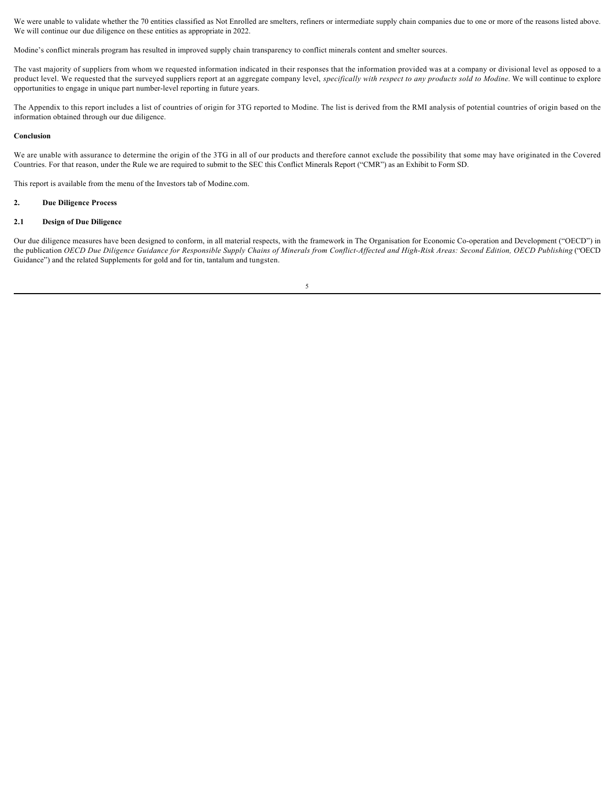We were unable to validate whether the 70 entities classified as Not Enrolled are smelters, refiners or intermediate supply chain companies due to one or more of the reasons listed above. We will continue our due diligence on these entities as appropriate in 2022.

Modine's conflict minerals program has resulted in improved supply chain transparency to conflict minerals content and smelter sources.

The vast majority of suppliers from whom we requested information indicated in their responses that the information provided was at a company or divisional level as opposed to a product level. We requested that the surveyed suppliers report at an aggregate company level, *specifically with respect to any products sold to Modine*. We will continue to explore opportunities to engage in unique part number-level reporting in future years.

The Appendix to this report includes a list of countries of origin for 3TG reported to Modine. The list is derived from the RMI analysis of potential countries of origin based on the information obtained through our due diligence.

#### **Conclusion**

We are unable with assurance to determine the origin of the 3TG in all of our products and therefore cannot exclude the possibility that some may have originated in the Covered Countries. For that reason, under the Rule we are required to submit to the SEC this Conflict Minerals Report ("CMR") as an Exhibit to Form SD.

This report is available from the menu of the Investors tab of Modine.com.

# **2. Due Diligence Process**

## **2.1 Design of Due Diligence**

Our due diligence measures have been designed to conform, in all material respects, with the framework in The Organisation for Economic Co-operation and Development ("OECD") in the publication *OECD Due Diligence Guidance for Responsible Supply Chains of Minerals from Conflict-Affected and High-Risk Areas: Second Edition, OECD Publishing* ("OECD Guidance") and the related Supplements for gold and for tin, tantalum and tungsten.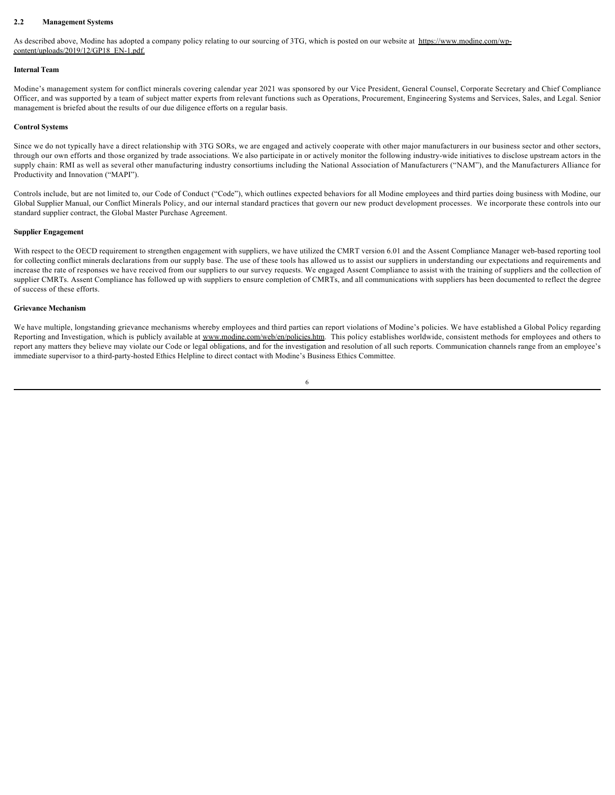#### **2.2 Management Systems**

As described above, Modine has adopted a company policy relating to our sourcing of 3TG, which is posted on our website at https://www.modine.com/wpcontent/uploads/2019/12/GP18\_EN-1.pdf.

#### **Internal Team**

Modine's management system for conflict minerals covering calendar year 2021 was sponsored by our Vice President, General Counsel, Corporate Secretary and Chief Compliance Officer, and was supported by a team of subject matter experts from relevant functions such as Operations, Procurement, Engineering Systems and Services, Sales, and Legal. Senior management is briefed about the results of our due diligence efforts on a regular basis.

#### **Control Systems**

Since we do not typically have a direct relationship with 3TG SORs, we are engaged and actively cooperate with other major manufacturers in our business sector and other sectors, through our own efforts and those organized by trade associations. We also participate in or actively monitor the following industry-wide initiatives to disclose upstream actors in the supply chain: RMI as well as several other manufacturing industry consortiums including the National Association of Manufacturers ("NAM"), and the Manufacturers Alliance for Productivity and Innovation ("MAPI").

Controls include, but are not limited to, our Code of Conduct ("Code"), which outlines expected behaviors for all Modine employees and third parties doing business with Modine, our Global Supplier Manual, our Conflict Minerals Policy, and our internal standard practices that govern our new product development processes. We incorporate these controls into our standard supplier contract, the Global Master Purchase Agreement.

#### **Supplier Engagement**

With respect to the OECD requirement to strengthen engagement with suppliers, we have utilized the CMRT version 6.01 and the Assent Compliance Manager web-based reporting tool for collecting conflict minerals declarations from our supply base. The use of these tools has allowed us to assist our suppliers in understanding our expectations and requirements and increase the rate of responses we have received from our suppliers to our survey requests. We engaged Assent Compliance to assist with the training of suppliers and the collection of supplier CMRTs. Assent Compliance has followed up with suppliers to ensure completion of CMRTs, and all communications with suppliers has been documented to reflect the degree of success of these efforts.

# **Grievance Mechanism**

We have multiple, longstanding grievance mechanisms whereby employees and third parties can report violations of Modine's policies. We have established a Global Policy regarding Reporting and Investigation, which is publicly available at www.modine.com/web/en/policies.htm. This policy establishes worldwide, consistent methods for employees and others to report any matters they believe may violate our Code or legal obligations, and for the investigation and resolution of all such reports. Communication channels range from an employee's immediate supervisor to a third-party-hosted Ethics Helpline to direct contact with Modine's Business Ethics Committee.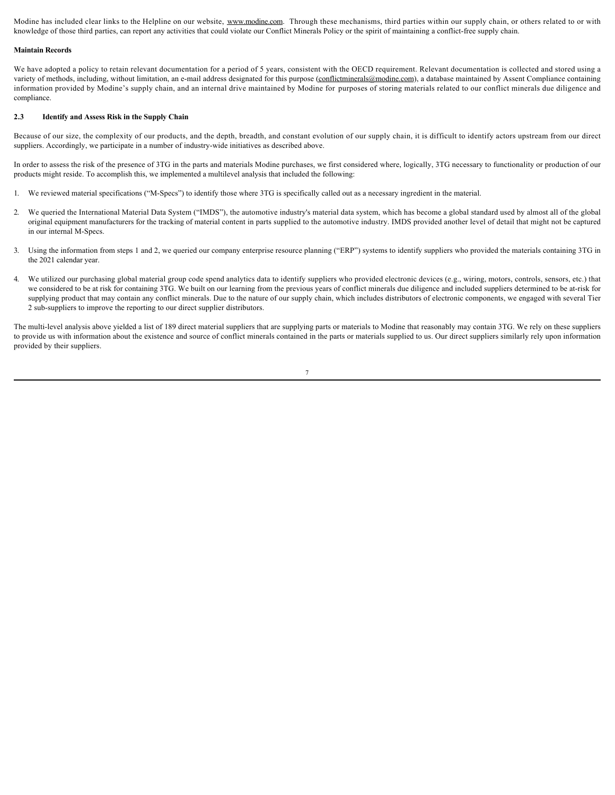Modine has included clear links to the Helpline on our website, www.modine.com. Through these mechanisms, third parties within our supply chain, or others related to or with knowledge of those third parties, can report any activities that could violate our Conflict Minerals Policy or the spirit of maintaining a conflict-free supply chain.

#### **Maintain Records**

We have adopted a policy to retain relevant documentation for a period of 5 years, consistent with the OECD requirement. Relevant documentation is collected and stored using a variety of methods, including, without limitation, an e-mail address designated for this purpose (conflictminerals@modine.com), a database maintained by Assent Compliance containing information provided by Modine's supply chain, and an internal drive maintained by Modine for purposes of storing materials related to our conflict minerals due diligence and compliance.

# **2.3 Identify and Assess Risk in the Supply Chain**

Because of our size, the complexity of our products, and the depth, breadth, and constant evolution of our supply chain, it is difficult to identify actors upstream from our direct suppliers. Accordingly, we participate in a number of industry-wide initiatives as described above.

In order to assess the risk of the presence of 3TG in the parts and materials Modine purchases, we first considered where, logically, 3TG necessary to functionality or production of our products might reside. To accomplish this, we implemented a multilevel analysis that included the following:

- 1. We reviewed material specifications ("M-Specs") to identify those where 3TG is specifically called out as a necessary ingredient in the material.
- 2. We queried the International Material Data System ("IMDS"), the automotive industry's material data system, which has become a global standard used by almost all of the global original equipment manufacturers for the tracking of material content in parts supplied to the automotive industry. IMDS provided another level of detail that might not be captured in our internal M-Specs.
- 3. Using the information from steps 1 and 2, we queried our company enterprise resource planning ("ERP") systems to identify suppliers who provided the materials containing 3TG in the 2021 calendar year.
- 4. We utilized our purchasing global material group code spend analytics data to identify suppliers who provided electronic devices (e.g., wiring, motors, controls, sensors, etc.) that we considered to be at risk for containing 3TG. We built on our learning from the previous years of conflict minerals due diligence and included suppliers determined to be at-risk for supplying product that may contain any conflict minerals. Due to the nature of our supply chain, which includes distributors of electronic components, we engaged with several Tier 2 sub-suppliers to improve the reporting to our direct supplier distributors.

The multi-level analysis above yielded a list of 189 direct material suppliers that are supplying parts or materials to Modine that reasonably may contain 3TG. We rely on these suppliers to provide us with information about the existence and source of conflict minerals contained in the parts or materials supplied to us. Our direct suppliers similarly rely upon information provided by their suppliers.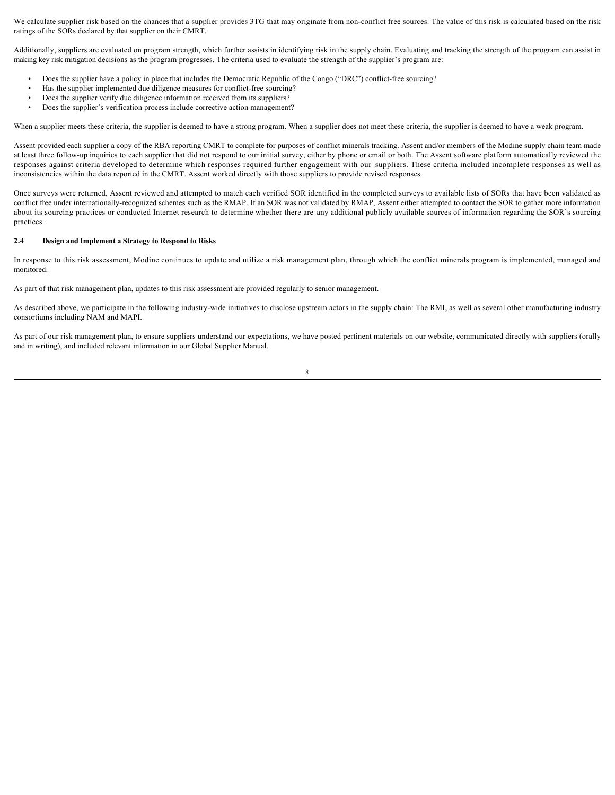We calculate supplier risk based on the chances that a supplier provides 3TG that may originate from non-conflict free sources. The value of this risk is calculated based on the risk ratings of the SORs declared by that supplier on their CMRT.

Additionally, suppliers are evaluated on program strength, which further assists in identifying risk in the supply chain. Evaluating and tracking the strength of the program can assist in making key risk mitigation decisions as the program progresses. The criteria used to evaluate the strength of the supplier's program are:

- Does the supplier have a policy in place that includes the Democratic Republic of the Congo ("DRC") conflict-free sourcing?
- Has the supplier implemented due diligence measures for conflict-free sourcing?
- Does the supplier verify due diligence information received from its suppliers?
- Does the supplier's verification process include corrective action management?

When a supplier meets these criteria, the supplier is deemed to have a strong program. When a supplier does not meet these criteria, the supplier is deemed to have a weak program.

Assent provided each supplier a copy of the RBA reporting CMRT to complete for purposes of conflict minerals tracking. Assent and/or members of the Modine supply chain team made at least three follow-up inquiries to each supplier that did not respond to our initial survey, either by phone or email or both. The Assent software platform automatically reviewed the responses against criteria developed to determine which responses required further engagement with our suppliers. These criteria included incomplete responses as well as inconsistencies within the data reported in the CMRT. Assent worked directly with those suppliers to provide revised responses.

Once surveys were returned, Assent reviewed and attempted to match each verified SOR identified in the completed surveys to available lists of SORs that have been validated as conflict free under internationally-recognized schemes such as the RMAP. If an SOR was not validated by RMAP, Assent either attempted to contact the SOR to gather more information about its sourcing practices or conducted Internet research to determine whether there are any additional publicly available sources of information regarding the SOR's sourcing practices.

#### **2.4 Design and Implement a Strategy to Respond to Risks**

In response to this risk assessment, Modine continues to update and utilize a risk management plan, through which the conflict minerals program is implemented, managed and monitored.

As part of that risk management plan, updates to this risk assessment are provided regularly to senior management.

As described above, we participate in the following industry-wide initiatives to disclose upstream actors in the supply chain: The RMI, as well as several other manufacturing industry consortiums including NAM and MAPI.

As part of our risk management plan, to ensure suppliers understand our expectations, we have posted pertinent materials on our website, communicated directly with suppliers (orally and in writing), and included relevant information in our Global Supplier Manual.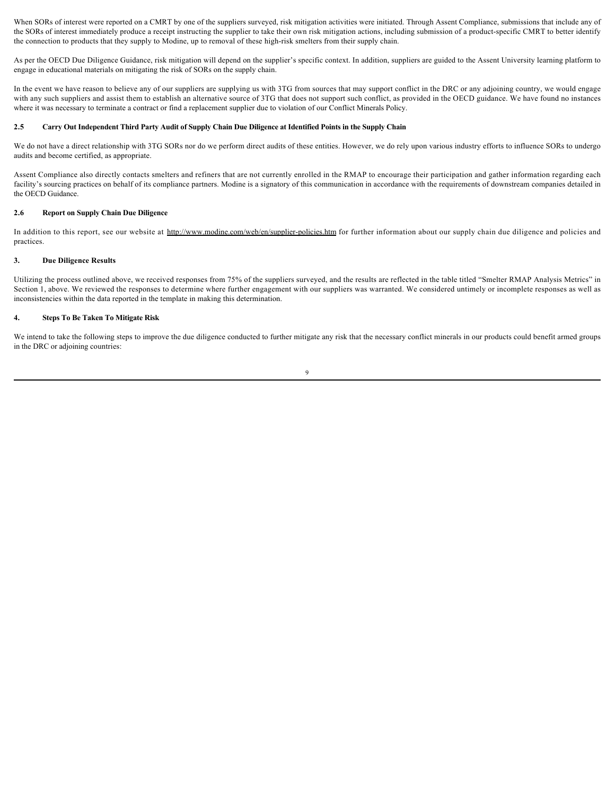When SORs of interest were reported on a CMRT by one of the suppliers surveyed, risk mitigation activities were initiated. Through Assent Compliance, submissions that include any of the SORs of interest immediately produce a receipt instructing the supplier to take their own risk mitigation actions, including submission of a product-specific CMRT to better identify the connection to products that they supply to Modine, up to removal of these high-risk smelters from their supply chain.

As per the OECD Due Diligence Guidance, risk mitigation will depend on the supplier's specific context. In addition, suppliers are guided to the Assent University learning platform to engage in educational materials on mitigating the risk of SORs on the supply chain.

In the event we have reason to believe any of our suppliers are supplying us with 3TG from sources that may support conflict in the DRC or any adjoining country, we would engage with any such suppliers and assist them to establish an alternative source of 3TG that does not support such conflict, as provided in the OECD guidance. We have found no instances where it was necessary to terminate a contract or find a replacement supplier due to violation of our Conflict Minerals Policy.

#### **2.5 Carry Out Independent Third Party Audit of Supply Chain Due Diligence at Identified Points in the Supply Chain**

We do not have a direct relationship with 3TG SORs nor do we perform direct audits of these entities. However, we do rely upon various industry efforts to influence SORs to undergo audits and become certified, as appropriate.

Assent Compliance also directly contacts smelters and refiners that are not currently enrolled in the RMAP to encourage their participation and gather information regarding each facility's sourcing practices on behalf of its compliance partners. Modine is a signatory of this communication in accordance with the requirements of downstream companies detailed in the OECD Guidance.

#### **2.6 Report on Supply Chain Due Diligence**

In addition to this report, see our website at http://www.modine.com/web/en/supplier-policies.htm for further information about our supply chain due diligence and policies and practices.

# **3. Due Diligence Results**

Utilizing the process outlined above, we received responses from 75% of the suppliers surveyed, and the results are reflected in the table titled "Smelter RMAP Analysis Metrics" in Section 1, above. We reviewed the responses to determine where further engagement with our suppliers was warranted. We considered untimely or incomplete responses as well as inconsistencies within the data reported in the template in making this determination.

## **4. Steps To Be Taken To Mitigate Risk**

We intend to take the following steps to improve the due diligence conducted to further mitigate any risk that the necessary conflict minerals in our products could benefit armed groups in the DRC or adjoining countries:

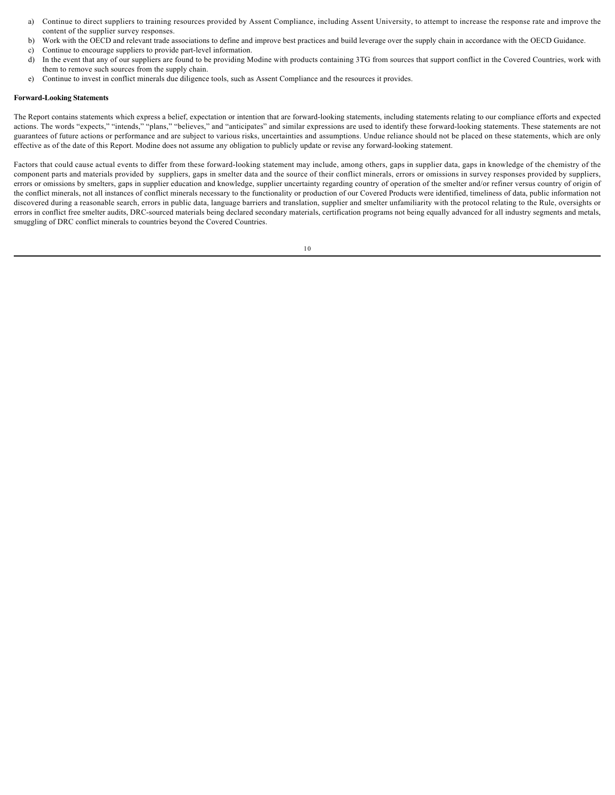- a) Continue to direct suppliers to training resources provided by Assent Compliance, including Assent University, to attempt to increase the response rate and improve the content of the supplier survey responses.
- b) Work with the OECD and relevant trade associations to define and improve best practices and build leverage over the supply chain in accordance with the OECD Guidance.
- c) Continue to encourage suppliers to provide part-level information.
- d) In the event that any of our suppliers are found to be providing Modine with products containing 3TG from sources that support conflict in the Covered Countries, work with them to remove such sources from the supply chain.
- e) Continue to invest in conflict minerals due diligence tools, such as Assent Compliance and the resources it provides.

# **Forward-Looking Statements**

The Report contains statements which express a belief, expectation or intention that are forward-looking statements, including statements relating to our compliance efforts and expected actions. The words "expects," "intends," "plans," "believes," and "anticipates" and similar expressions are used to identify these forward-looking statements. These statements are not guarantees of future actions or performance and are subject to various risks, uncertainties and assumptions. Undue reliance should not be placed on these statements, which are only effective as of the date of this Report. Modine does not assume any obligation to publicly update or revise any forward-looking statement.

Factors that could cause actual events to differ from these forward-looking statement may include, among others, gaps in supplier data, gaps in knowledge of the chemistry of the component parts and materials provided by suppliers, gaps in smelter data and the source of their conflict minerals, errors or omissions in survey responses provided by suppliers, errors or omissions by smelters, gaps in supplier education and knowledge, supplier uncertainty regarding country of operation of the smelter and/or refiner versus country of origin of the conflict minerals, not all instances of conflict minerals necessary to the functionality or production of our Covered Products were identified, timeliness of data, public information not discovered during a reasonable search, errors in public data, language barriers and translation, supplier and smelter unfamiliarity with the protocol relating to the Rule, oversights or errors in conflict free smelter audits, DRC-sourced materials being declared secondary materials, certification programs not being equally advanced for all industry segments and metals, smuggling of DRC conflict minerals to countries beyond the Covered Countries.

| I       |
|---------|
| I       |
| ×<br>۰, |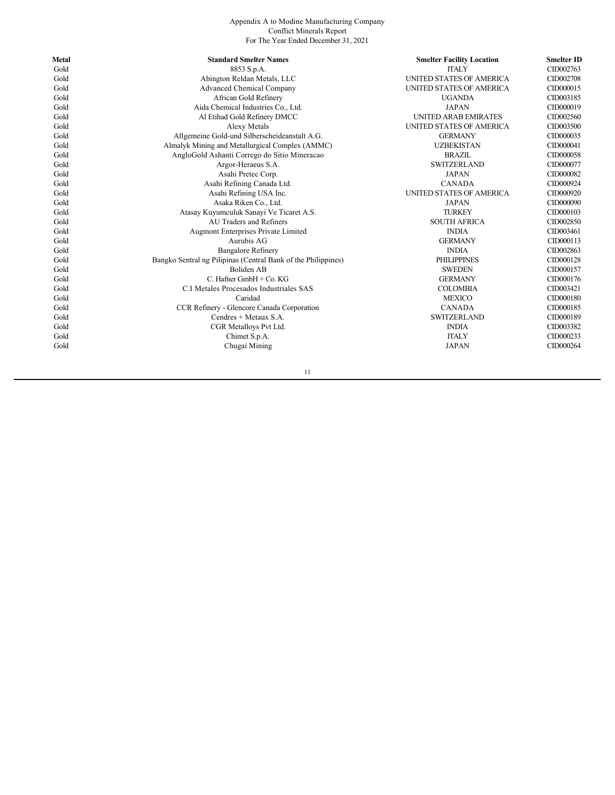#### Appendix A to Modine Manufacturing Company Conflict Minerals Report For The Year Ended December 31, 2021

| <b>Metal</b> | <b>Standard Smelter Names</b>                                 | <b>Smelter Facility Location</b> | <b>Smelter ID</b> |
|--------------|---------------------------------------------------------------|----------------------------------|-------------------|
| Gold         | 8853 S.p.A.                                                   | <b>ITALY</b>                     | CID002763         |
| Gold         | Abington Reldan Metals, LLC                                   | UNITED STATES OF AMERICA         | CID002708         |
| Gold         | <b>Advanced Chemical Company</b>                              | UNITED STATES OF AMERICA         | CID000015         |
| Gold         | African Gold Refinery                                         | <b>UGANDA</b>                    | CID003185         |
| Gold         | Aida Chemical Industries Co., Ltd.                            | <b>JAPAN</b>                     | CID000019         |
| Gold         | Al Etihad Gold Refinery DMCC                                  | UNITED ARAB EMIRATES             | CID002560         |
| Gold         | Alexy Metals                                                  | UNITED STATES OF AMERICA         | CID003500         |
| Gold         | Allgemeine Gold-und Silberscheideanstalt A.G.                 | <b>GERMANY</b>                   | CID000035         |
| Gold         | Almalyk Mining and Metallurgical Complex (AMMC)               | <b>UZBEKISTAN</b>                | CID000041         |
| Gold         | AngloGold Ashanti Corrego do Sitio Mineracao                  | <b>BRAZIL</b>                    | CID000058         |
| Gold         | Argor-Heraeus S.A.                                            | <b>SWITZERLAND</b>               | CID000077         |
| Gold         | Asahi Pretec Corp.                                            | <b>JAPAN</b>                     | CID000082         |
| Gold         | Asahi Refining Canada Ltd.                                    | <b>CANADA</b>                    | CID000924         |
| Gold         | Asahi Refining USA Inc.                                       | UNITED STATES OF AMERICA         | CID000920         |
| Gold         | Asaka Riken Co., Ltd.                                         | <b>JAPAN</b>                     | CID000090         |
| Gold         | Atasay Kuyumculuk Sanayi Ve Ticaret A.S.                      | <b>TURKEY</b>                    | CID000103         |
| Gold         | AU Traders and Refiners                                       | <b>SOUTH AFRICA</b>              | CID002850         |
| Gold         | <b>Augmont Enterprises Private Limited</b>                    | <b>INDIA</b>                     | CID003461         |
| Gold         | Aurubis AG                                                    | <b>GERMANY</b>                   | CID000113         |
| Gold         | <b>Bangalore Refinery</b>                                     | <b>INDIA</b>                     | CID002863         |
| Gold         | Bangko Sentral ng Pilipinas (Central Bank of the Philippines) | <b>PHILIPPINES</b>               | CID000128         |
| Gold         | <b>Boliden AB</b>                                             | <b>SWEDEN</b>                    | CID000157         |
| Gold         | C. Hafner GmbH $+$ Co. KG                                     | <b>GERMANY</b>                   | CID000176         |
| Gold         | C.I Metales Procesados Industriales SAS                       | <b>COLOMBIA</b>                  | CID003421         |
| Gold         | Caridad                                                       | <b>MEXICO</b>                    | CID000180         |
| Gold         | CCR Refinery - Glencore Canada Corporation                    | <b>CANADA</b>                    | CID000185         |
| Gold         | Cendres $+$ Metaux S.A.                                       | <b>SWITZERLAND</b>               | CID000189         |
| Gold         | CGR Metalloys Pvt Ltd.                                        | <b>INDIA</b>                     | CID003382         |
| Gold         | Chimet S.p.A.                                                 | <b>ITALY</b>                     | CID000233         |
| Gold         | Chugai Mining                                                 | <b>JAPAN</b>                     | CID000264         |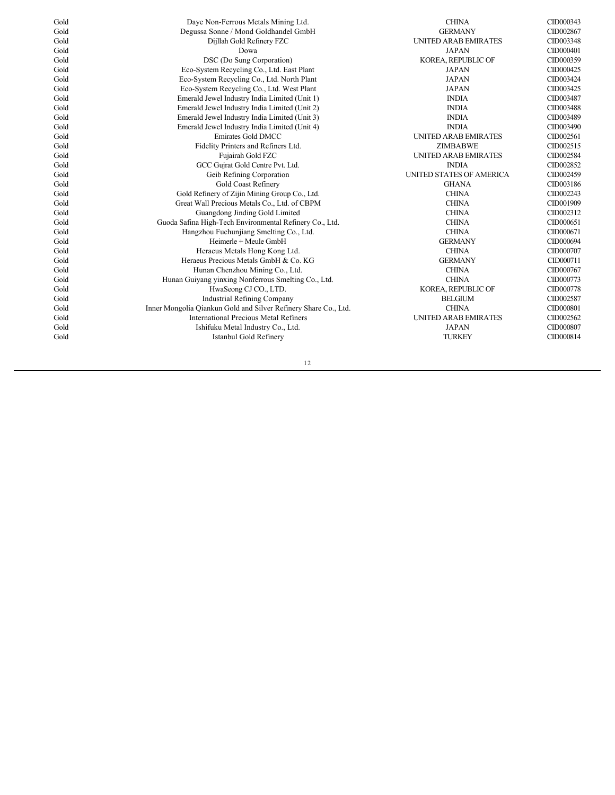| Gold | Daye Non-Ferrous Metals Mining Ltd.                             | <b>CHINA</b>                | CID000343 |
|------|-----------------------------------------------------------------|-----------------------------|-----------|
| Gold | Degussa Sonne / Mond Goldhandel GmbH                            | <b>GERMANY</b>              | CID002867 |
| Gold | Dijllah Gold Refinery FZC                                       | <b>UNITED ARAB EMIRATES</b> | CID003348 |
| Gold | Dowa                                                            | <b>JAPAN</b>                | CID000401 |
| Gold | DSC (Do Sung Corporation)                                       | KOREA, REPUBLIC OF          | CID000359 |
| Gold | Eco-System Recycling Co., Ltd. East Plant                       | <b>JAPAN</b>                | CID000425 |
| Gold | Eco-System Recycling Co., Ltd. North Plant                      | <b>JAPAN</b>                | CID003424 |
| Gold | Eco-System Recycling Co., Ltd. West Plant                       | <b>JAPAN</b>                | CID003425 |
| Gold | Emerald Jewel Industry India Limited (Unit 1)                   | <b>INDIA</b>                | CID003487 |
| Gold | Emerald Jewel Industry India Limited (Unit 2)                   | <b>INDIA</b>                | CID003488 |
| Gold | Emerald Jewel Industry India Limited (Unit 3)                   | <b>INDIA</b>                | CID003489 |
| Gold | Emerald Jewel Industry India Limited (Unit 4)                   | <b>INDIA</b>                | CID003490 |
| Gold | <b>Emirates Gold DMCC</b>                                       | <b>UNITED ARAB EMIRATES</b> | CID002561 |
| Gold | Fidelity Printers and Refiners Ltd.                             | ZIMBABWE                    | CID002515 |
| Gold | Fujairah Gold FZC                                               | <b>UNITED ARAB EMIRATES</b> | CID002584 |
| Gold | GCC Gujrat Gold Centre Pvt. Ltd.                                | <b>INDIA</b>                | CID002852 |
| Gold | Geib Refining Corporation                                       | UNITED STATES OF AMERICA    | CID002459 |
| Gold | Gold Coast Refinery                                             | <b>GHANA</b>                | CID003186 |
| Gold | Gold Refinery of Zijin Mining Group Co., Ltd.                   | <b>CHINA</b>                | CID002243 |
| Gold | Great Wall Precious Metals Co., Ltd. of CBPM                    | <b>CHINA</b>                | CID001909 |
| Gold | Guangdong Jinding Gold Limited                                  | <b>CHINA</b>                | CID002312 |
| Gold | Guoda Safina High-Tech Environmental Refinery Co., Ltd.         | <b>CHINA</b>                | CID000651 |
| Gold | Hangzhou Fuchunjiang Smelting Co., Ltd.                         | <b>CHINA</b>                | CID000671 |
| Gold | Heimerle + Meule GmbH                                           | <b>GERMANY</b>              | CID000694 |
| Gold | Heraeus Metals Hong Kong Ltd.                                   | <b>CHINA</b>                | CID000707 |
| Gold | Heraeus Precious Metals GmbH & Co. KG                           | <b>GERMANY</b>              | CID000711 |
| Gold | Hunan Chenzhou Mining Co., Ltd.                                 | <b>CHINA</b>                | CID000767 |
| Gold | Hunan Guiyang yinxing Nonferrous Smelting Co., Ltd.             | <b>CHINA</b>                | CID000773 |
| Gold | HwaSeong CJ CO., LTD.                                           | KOREA, REPUBLIC OF          | CID000778 |
| Gold | <b>Industrial Refining Company</b>                              | <b>BELGIUM</b>              | CID002587 |
| Gold | Inner Mongolia Qiankun Gold and Silver Refinery Share Co., Ltd. | <b>CHINA</b>                | CID000801 |
| Gold | International Precious Metal Refiners                           | <b>UNITED ARAB EMIRATES</b> | CID002562 |
| Gold | Ishifuku Metal Industry Co., Ltd.                               | <b>JAPAN</b>                | CID000807 |
| Gold | Istanbul Gold Refinery                                          | <b>TURKEY</b>               | CID000814 |
|      |                                                                 |                             |           |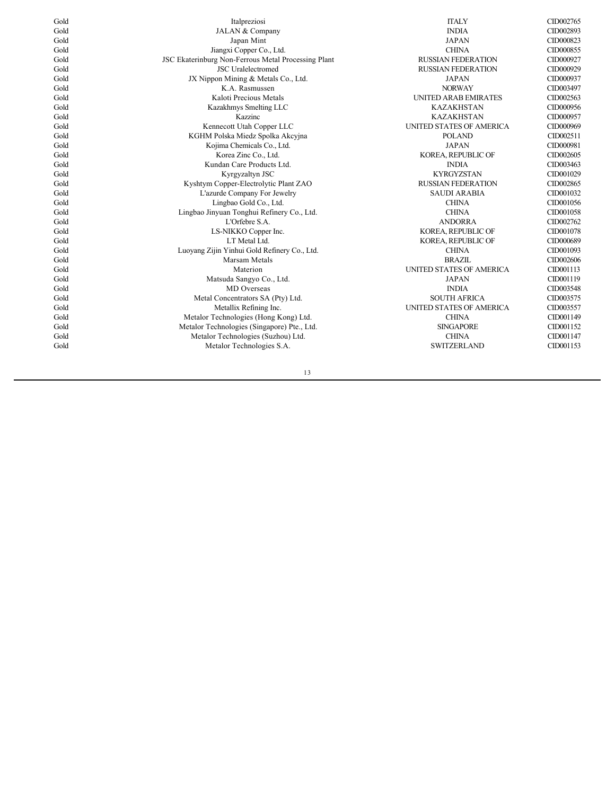| Gold | Italpreziosi                                        | <b>ITALY</b>                | CID002765 |
|------|-----------------------------------------------------|-----------------------------|-----------|
| Gold | JALAN & Company                                     | <b>INDIA</b>                | CID002893 |
| Gold | Japan Mint                                          | <b>JAPAN</b>                | CID000823 |
| Gold | Jiangxi Copper Co., Ltd.                            | <b>CHINA</b>                | CID000855 |
| Gold | JSC Ekaterinburg Non-Ferrous Metal Processing Plant | <b>RUSSIAN FEDERATION</b>   | CID000927 |
| Gold | <b>JSC</b> Uralelectromed                           | <b>RUSSIAN FEDERATION</b>   | CID000929 |
| Gold | JX Nippon Mining & Metals Co., Ltd.                 | <b>JAPAN</b>                | CID000937 |
| Gold | K.A. Rasmussen                                      | <b>NORWAY</b>               | CID003497 |
| Gold | Kaloti Precious Metals                              | <b>UNITED ARAB EMIRATES</b> | CID002563 |
| Gold | Kazakhmys Smelting LLC                              | <b>KAZAKHSTAN</b>           | CID000956 |
| Gold | Kazzinc                                             | <b>KAZAKHSTAN</b>           | CID000957 |
| Gold | Kennecott Utah Copper LLC                           | UNITED STATES OF AMERICA    | CID000969 |
| Gold | KGHM Polska Miedz Spolka Akcyjna                    | <b>POLAND</b>               | CID002511 |
| Gold | Kojima Chemicals Co., Ltd.                          | <b>JAPAN</b>                | CID000981 |
| Gold | Korea Zinc Co., Ltd.                                | KOREA, REPUBLIC OF          | CID002605 |
| Gold | Kundan Care Products Ltd.                           | <b>INDIA</b>                | CID003463 |
| Gold | Kyrgyzaltyn JSC                                     | <b>KYRGYZSTAN</b>           | CID001029 |
| Gold | Kyshtym Copper-Electrolytic Plant ZAO               | <b>RUSSIAN FEDERATION</b>   | CID002865 |
| Gold | L'azurde Company For Jewelry                        | <b>SAUDI ARABIA</b>         | CID001032 |
| Gold | Lingbao Gold Co., Ltd.                              | <b>CHINA</b>                | CID001056 |
| Gold | Lingbao Jinyuan Tonghui Refinery Co., Ltd.          | <b>CHINA</b>                | CID001058 |
| Gold | L'Orfebre S.A.                                      | <b>ANDORRA</b>              | CID002762 |
| Gold | LS-NIKKO Copper Inc.                                | KOREA, REPUBLIC OF          | CID001078 |
| Gold | LT Metal Ltd.                                       | KOREA, REPUBLIC OF          | CID000689 |
| Gold | Luoyang Zijin Yinhui Gold Refinery Co., Ltd.        | <b>CHINA</b>                | CID001093 |
| Gold | Marsam Metals                                       | <b>BRAZIL</b>               | CID002606 |
| Gold | Materion                                            | UNITED STATES OF AMERICA    | CID001113 |
| Gold | Matsuda Sangyo Co., Ltd.                            | <b>JAPAN</b>                | CID001119 |
| Gold | MD Overseas                                         | <b>INDIA</b>                | CID003548 |
| Gold | Metal Concentrators SA (Pty) Ltd.                   | <b>SOUTH AFRICA</b>         | CID003575 |
| Gold | Metallix Refining Inc.                              | UNITED STATES OF AMERICA    | CID003557 |
| Gold | Metalor Technologies (Hong Kong) Ltd.               | <b>CHINA</b>                | CID001149 |
| Gold | Metalor Technologies (Singapore) Pte., Ltd.         | <b>SINGAPORE</b>            | CID001152 |
| Gold | Metalor Technologies (Suzhou) Ltd.                  | <b>CHINA</b>                | CID001147 |
| Gold | Metalor Technologies S.A.                           | <b>SWITZERLAND</b>          | CID001153 |
|      |                                                     |                             |           |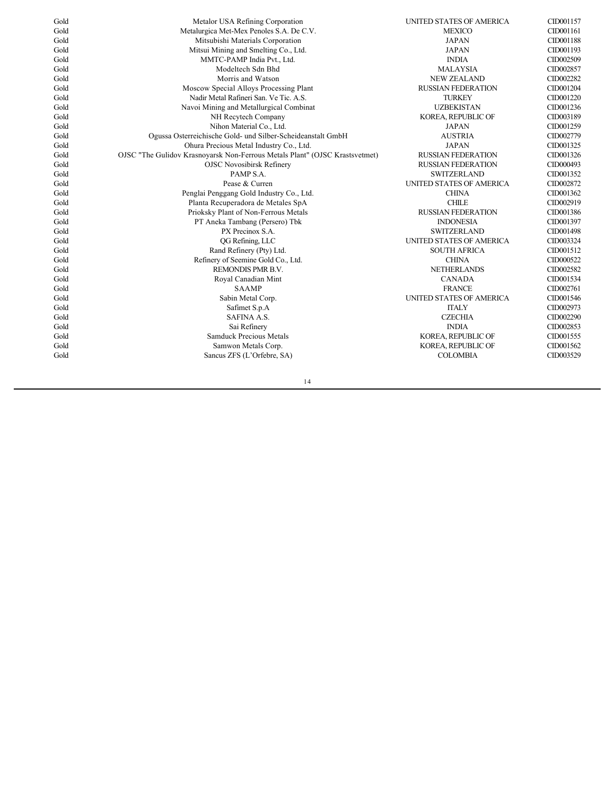| Gold | Metalor USA Refining Corporation                                            | UNITED STATES OF AMERICA  | CID001157 |
|------|-----------------------------------------------------------------------------|---------------------------|-----------|
| Gold | Metalurgica Met-Mex Penoles S.A. De C.V.                                    | <b>MEXICO</b>             | CID001161 |
| Gold | Mitsubishi Materials Corporation                                            | <b>JAPAN</b>              | CID001188 |
| Gold | Mitsui Mining and Smelting Co., Ltd.                                        | <b>JAPAN</b>              | CID001193 |
| Gold | MMTC-PAMP India Pvt., Ltd.                                                  | <b>INDIA</b>              | CID002509 |
| Gold | Modeltech Sdn Bhd                                                           | <b>MALAYSIA</b>           | CID002857 |
| Gold | Morris and Watson                                                           | <b>NEW ZEALAND</b>        | CID002282 |
| Gold | Moscow Special Alloys Processing Plant                                      | <b>RUSSIAN FEDERATION</b> | CID001204 |
| Gold | Nadir Metal Rafineri San. Ve Tic. A.S.                                      | <b>TURKEY</b>             | CID001220 |
| Gold | Navoi Mining and Metallurgical Combinat                                     | <b>UZBEKISTAN</b>         | CID001236 |
| Gold | NH Recytech Company                                                         | KOREA, REPUBLIC OF        | CID003189 |
| Gold | Nihon Material Co., Ltd.                                                    | <b>JAPAN</b>              | CID001259 |
| Gold | Ogussa Osterreichische Gold- und Silber-Scheideanstalt GmbH                 | <b>AUSTRIA</b>            | CID002779 |
| Gold | Ohura Precious Metal Industry Co., Ltd.                                     | <b>JAPAN</b>              | CID001325 |
| Gold | OJSC "The Gulidov Krasnoyarsk Non-Ferrous Metals Plant" (OJSC Krastsvetmet) | <b>RUSSIAN FEDERATION</b> | CID001326 |
| Gold | <b>OJSC Novosibirsk Refinery</b>                                            | <b>RUSSIAN FEDERATION</b> | CID000493 |
| Gold | PAMP S.A.                                                                   | <b>SWITZERLAND</b>        | CID001352 |
| Gold | Pease & Curren                                                              | UNITED STATES OF AMERICA  | CID002872 |
| Gold | Penglai Penggang Gold Industry Co., Ltd.                                    | <b>CHINA</b>              | CID001362 |
| Gold | Planta Recuperadora de Metales SpA                                          | <b>CHILE</b>              | CID002919 |
| Gold | Prioksky Plant of Non-Ferrous Metals                                        | <b>RUSSIAN FEDERATION</b> | CID001386 |
| Gold | PT Aneka Tambang (Persero) Tbk                                              | <b>INDONESIA</b>          | CID001397 |
| Gold | PX Precinox S.A.                                                            | <b>SWITZERLAND</b>        | CID001498 |
| Gold | QG Refining, LLC                                                            | UNITED STATES OF AMERICA  | CID003324 |
| Gold | Rand Refinery (Pty) Ltd.                                                    | <b>SOUTH AFRICA</b>       | CID001512 |
| Gold | Refinery of Seemine Gold Co., Ltd.                                          | <b>CHINA</b>              | CID000522 |
| Gold | REMONDIS PMR B.V.                                                           | <b>NETHERLANDS</b>        | CID002582 |
| Gold | Royal Canadian Mint                                                         | <b>CANADA</b>             | CID001534 |
| Gold | <b>SAAMP</b>                                                                | <b>FRANCE</b>             | CID002761 |
| Gold | Sabin Metal Corp.                                                           | UNITED STATES OF AMERICA  | CID001546 |
| Gold | Safimet S.p.A                                                               | <b>ITALY</b>              | CID002973 |
| Gold | SAFINA A.S.                                                                 | <b>CZECHIA</b>            | CID002290 |
| Gold | Sai Refinery                                                                | <b>INDIA</b>              | CID002853 |
| Gold | <b>Samduck Precious Metals</b>                                              | KOREA, REPUBLIC OF        | CID001555 |
| Gold | Samwon Metals Corp.                                                         | KOREA, REPUBLIC OF        | CID001562 |
| Gold | Sancus ZFS (L'Orfebre, SA)                                                  | <b>COLOMBIA</b>           | CID003529 |
|      |                                                                             |                           |           |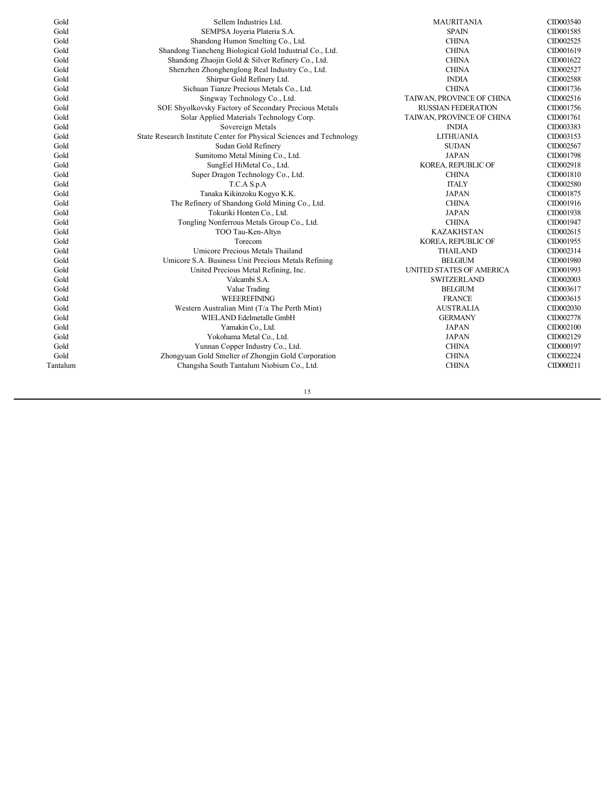| Gold     | Sellem Industries Ltd.                                               | <b>MAURITANIA</b>         | CID003540 |
|----------|----------------------------------------------------------------------|---------------------------|-----------|
| Gold     | SEMPSA Joyeria Plateria S.A.                                         | <b>SPAIN</b>              | CID001585 |
| Gold     | Shandong Humon Smelting Co., Ltd.                                    | <b>CHINA</b>              | CID002525 |
| Gold     | Shandong Tiancheng Biological Gold Industrial Co., Ltd.              | <b>CHINA</b>              | CID001619 |
| Gold     | Shandong Zhaojin Gold & Silver Refinery Co., Ltd.                    | <b>CHINA</b>              | CID001622 |
| Gold     | Shenzhen Zhonghenglong Real Industry Co., Ltd.                       | <b>CHINA</b>              | CID002527 |
| Gold     | Shirpur Gold Refinery Ltd.                                           | <b>INDIA</b>              | CID002588 |
| Gold     | Sichuan Tianze Precious Metals Co., Ltd.                             | <b>CHINA</b>              | CID001736 |
| Gold     | Singway Technology Co., Ltd.                                         | TAIWAN, PROVINCE OF CHINA | CID002516 |
| Gold     | SOE Shyolkovsky Factory of Secondary Precious Metals                 | <b>RUSSIAN FEDERATION</b> | CID001756 |
| Gold     | Solar Applied Materials Technology Corp.                             | TAIWAN, PROVINCE OF CHINA | CID001761 |
| Gold     | Sovereign Metals                                                     | <b>INDIA</b>              | CID003383 |
| Gold     | State Research Institute Center for Physical Sciences and Technology | <b>LITHUANIA</b>          | CID003153 |
| Gold     | Sudan Gold Refinery                                                  | <b>SUDAN</b>              | CID002567 |
| Gold     | Sumitomo Metal Mining Co., Ltd.                                      | <b>JAPAN</b>              | CID001798 |
| Gold     | SungEel HiMetal Co., Ltd.                                            | KOREA, REPUBLIC OF        | CID002918 |
| Gold     | Super Dragon Technology Co., Ltd.                                    | <b>CHINA</b>              | CID001810 |
| Gold     | T.C.A S.p.A                                                          | <b>ITALY</b>              | CID002580 |
| Gold     | Tanaka Kikinzoku Kogyo K.K.                                          | <b>JAPAN</b>              | CID001875 |
| Gold     | The Refinery of Shandong Gold Mining Co., Ltd.                       | <b>CHINA</b>              | CID001916 |
| Gold     | Tokuriki Honten Co., Ltd.                                            | <b>JAPAN</b>              | CID001938 |
| Gold     | Tongling Nonferrous Metals Group Co., Ltd.                           | <b>CHINA</b>              | CID001947 |
| Gold     | TOO Tau-Ken-Altyn                                                    | <b>KAZAKHSTAN</b>         | CID002615 |
| Gold     | Torecom                                                              | KOREA, REPUBLIC OF        | CID001955 |
| Gold     | Umicore Precious Metals Thailand                                     | <b>THAILAND</b>           | CID002314 |
| Gold     | Umicore S.A. Business Unit Precious Metals Refining                  | <b>BELGIUM</b>            | CID001980 |
| Gold     | United Precious Metal Refining, Inc.                                 | UNITED STATES OF AMERICA  | CID001993 |
| Gold     | Valcambi S.A.                                                        | <b>SWITZERLAND</b>        | CID002003 |
| Gold     | Value Trading                                                        | <b>BELGIUM</b>            | CID003617 |
| Gold     | WEEEREFINING                                                         | <b>FRANCE</b>             | CID003615 |
| Gold     | Western Australian Mint (T/a The Perth Mint)                         | <b>AUSTRALIA</b>          | CID002030 |
| Gold     | WIELAND Edelmetalle GmbH                                             | <b>GERMANY</b>            | CID002778 |
| Gold     | Yamakin Co., Ltd.                                                    | <b>JAPAN</b>              | CID002100 |
| Gold     | Yokohama Metal Co., Ltd.                                             | <b>JAPAN</b>              | CID002129 |
| Gold     | Yunnan Copper Industry Co., Ltd.                                     | <b>CHINA</b>              | CID000197 |
| Gold     | Zhongyuan Gold Smelter of Zhongjin Gold Corporation                  | <b>CHINA</b>              | CID002224 |
| Tantalum | Changsha South Tantalum Niobium Co., Ltd.                            | <b>CHINA</b>              | CID000211 |
|          |                                                                      |                           |           |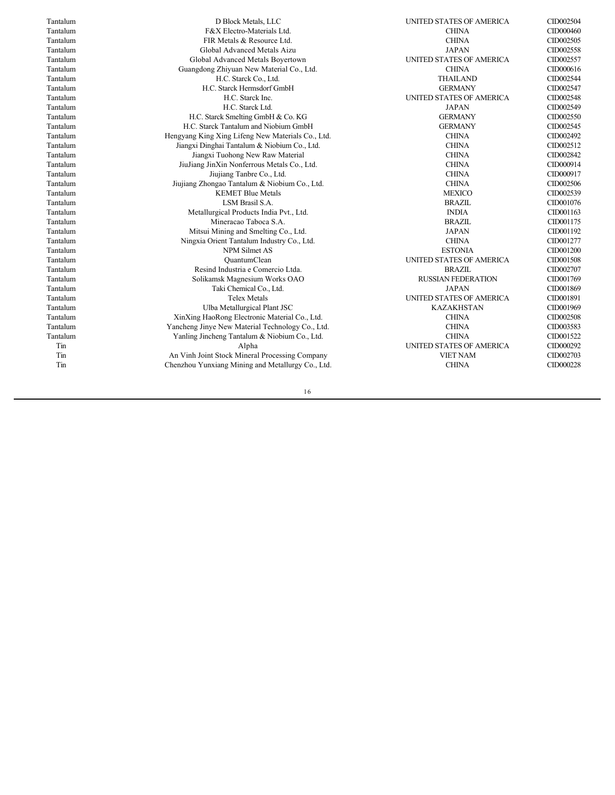Tantalum and the D Block Metals, LLC and the UNITED STATES OF AMERICA CID002504 Tantalum F&X Electro-Materials Ltd. CHINA CID000460 Tantalum **FIR Metals & Resource Ltd.** CHINA CHINA CID002505 Tantalum Global Advanced Metals Aizu JAPAN CID002558 Global Advanced Metals Boyertown Tantalum Guangdong Zhiyuan New Material Co., Ltd. CHINA CHINA CID000616 Tantalum Tantalum H.C. Starck Co., Ltd. THAILAND CID002544<br>Tantalum H.C. Starck Hermsdorf GmbH GERMANY GERMANY CID002547 H.C. Starck Hermsdorf GmbH Tantalum Tantalum H.C. Starck Inc. Tantalum H.C. Starck Inc. Number of Tantalum H.C. Starck Inc. Tantalum H.C. Starck Ltd. JAPAN CID002549 Tantalum GERMANY CID002550 Tantalum H.C. Starck Tantalum and Niobium GmbH GERMANY CID002545 Tantalum Hengyang King Xing Lifeng New Materials Co., Ltd. CHINA CID002492 Tantalum Jiangxi Dinghai Tantalum & Niobium Co., Ltd. CHINA CHINA CID002512 Tantalum Jiangxi Tuohong New Raw Material CHINA CID002842 Tantalum JiuJiang JinXin Nonferrous Metals Co., Ltd. CHINA CID000914 Tantalum Company and Jiujiang Tanbre Co., Ltd. CHINA CHINA CHINA CID000917 Tantalum Jiujiang Zhongao Tantalum & Niobium Co., Ltd. CHINA CHINA CID002506 Tantalum CID002539 CHO COMET Blue Metals MEXICO CHO02539 Tantalum CID001076 CHO001076 LSM Brasil S.A. CHO001076 CHO001076 Tantalum CID001163 Metallurgical Products India Pvt., Ltd. INDIA INDIA CID001163 Tantalum Mineracao Taboca S.A. BRAZIL CID001175<br>Tantalum Mitsui Mining and Smelting Co., Ltd. San and Smelting Co., Ltd. San and Smelting Co., Ltd. San and Smelting Co., Ltd. San and Smelting Co., Ltd. San and Smelting Co. Mitsui Mining and Smelting Co., Ltd. JAPAN Tantalum CID001277 (Ningxia Orient Tantalum Industry Co., Ltd. CHINA CHINA CID001277 Tantalum and the control of the NPM Silmet AS **ESTONIA** ESTONIA CID001200 Tantalum QuantumClean UNITED STATES OF AMERICA CID001508 Tantalum Resind Industria e Comercio Ltda. BRAZIL CID002707 Tantalum Solikamsk Magnesium Works OAO RUSSIAN FEDERATION CID001769 Tantalum 1990 Taki Chemical Co., Ltd. 1990 Taki Chemical Co., Ltd. 1990 JAPAN 1990 JAPAN CID001869<br>Telex Metals 1990 Telex Metals 1990 Telex Metals UNITED STATES OF AMERICA Tantalum CID001969 Ulba Metallurgical Plant JSC CHOOL CHOOL KAZAKHSTAN CID001969 Tantalum XinXing HaoRong Electronic Material Co., Ltd. CHINA CID002508 Yancheng Jinye New Material Technology Co., Ltd. Tantalum Tantalum Yanling Jincheng Tantalum & Niobium Co., Ltd. CHINA CHINA CHINA CID001522 Tin Alpha Alpha Alpha UNITED STATES OF AMERICA CID000292<br>An Vinh Joint Stock Mineral Processing Company VIET NAM VIET NAM CID002703 An Vinh Joint Stock Mineral Processing Company Tin Chenzhou Yunxiang Mining and Metallurgy Co., Ltd. CHINA CID000228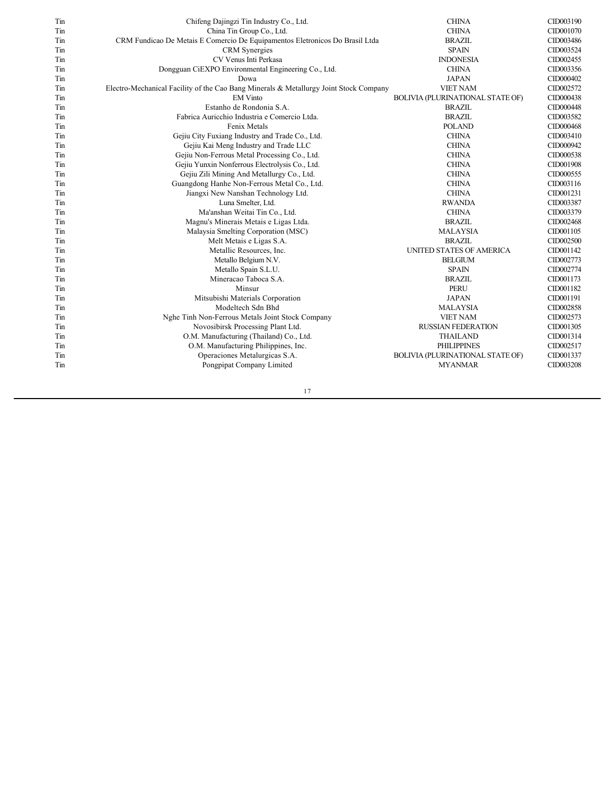| Tin | Chifeng Dajingzi Tin Industry Co., Ltd.                                               | <b>CHINA</b>                     | CID003190 |
|-----|---------------------------------------------------------------------------------------|----------------------------------|-----------|
| Tin | China Tin Group Co., Ltd.                                                             | <b>CHINA</b>                     | CID001070 |
| Tin | CRM Fundicao De Metais E Comercio De Equipamentos Eletronicos Do Brasil Ltda          | <b>BRAZIL</b>                    | CID003486 |
| Tin | CRM Synergies                                                                         | <b>SPAIN</b>                     | CID003524 |
| Tin | CV Venus Inti Perkasa                                                                 | <b>INDONESIA</b>                 | CID002455 |
| Tin | Dongguan CiEXPO Environmental Engineering Co., Ltd.                                   | <b>CHINA</b>                     | CID003356 |
| Tin | Dowa                                                                                  | <b>JAPAN</b>                     | CID000402 |
| Tin | Electro-Mechanical Facility of the Cao Bang Minerals & Metallurgy Joint Stock Company | <b>VIET NAM</b>                  | CID002572 |
| Tin | <b>EM Vinto</b>                                                                       | BOLIVIA (PLURINATIONAL STATE OF) | CID000438 |
| Tin | Estanho de Rondonia S.A.                                                              | <b>BRAZIL</b>                    | CID000448 |
| Tin | Fabrica Auricchio Industria e Comercio Ltda.                                          | <b>BRAZIL</b>                    | CID003582 |
| Tin | Fenix Metals                                                                          | <b>POLAND</b>                    | CID000468 |
| Tin | Gejiu City Fuxiang Industry and Trade Co., Ltd.                                       | <b>CHINA</b>                     | CID003410 |
| Tin | Gejiu Kai Meng Industry and Trade LLC                                                 | <b>CHINA</b>                     | CID000942 |
| Tin | Gejiu Non-Ferrous Metal Processing Co., Ltd.                                          | <b>CHINA</b>                     | CID000538 |
| Tin | Gejiu Yunxin Nonferrous Electrolysis Co., Ltd.                                        | <b>CHINA</b>                     | CID001908 |
| Tin | Gejiu Zili Mining And Metallurgy Co., Ltd.                                            | <b>CHINA</b>                     | CID000555 |
| Tin | Guangdong Hanhe Non-Ferrous Metal Co., Ltd.                                           | <b>CHINA</b>                     | CID003116 |
| Tin | Jiangxi New Nanshan Technology Ltd.                                                   | <b>CHINA</b>                     | CID001231 |
| Tin | Luna Smelter, Ltd.                                                                    | <b>RWANDA</b>                    | CID003387 |
| Tin | Ma'anshan Weitai Tin Co., Ltd.                                                        | <b>CHINA</b>                     | CID003379 |
| Tin | Magnu's Minerais Metais e Ligas Ltda.                                                 | <b>BRAZIL</b>                    | CID002468 |
| Tin | Malaysia Smelting Corporation (MSC)                                                   | <b>MALAYSIA</b>                  | CID001105 |
| Tin | Melt Metais e Ligas S.A.                                                              | <b>BRAZIL</b>                    | CID002500 |
| Tin | Metallic Resources, Inc.                                                              | UNITED STATES OF AMERICA         | CID001142 |
| Tin | Metallo Belgium N.V.                                                                  | <b>BELGIUM</b>                   | CID002773 |
| Tin | Metallo Spain S.L.U.                                                                  | <b>SPAIN</b>                     | CID002774 |
| Tin | Mineracao Taboca S.A.                                                                 | <b>BRAZIL</b>                    | CID001173 |
| Tin | Minsur                                                                                | <b>PERU</b>                      | CID001182 |
| Tin | Mitsubishi Materials Corporation                                                      | <b>JAPAN</b>                     | CID001191 |
| Tin | Modeltech Sdn Bhd                                                                     | <b>MALAYSIA</b>                  | CID002858 |
| Tin | Nghe Tinh Non-Ferrous Metals Joint Stock Company                                      | <b>VIET NAM</b>                  | CID002573 |
| Tin | Novosibirsk Processing Plant Ltd.                                                     | <b>RUSSIAN FEDERATION</b>        | CID001305 |
| Tin | O.M. Manufacturing (Thailand) Co., Ltd.                                               | <b>THAILAND</b>                  | CID001314 |
| Tin | O.M. Manufacturing Philippines, Inc.                                                  | <b>PHILIPPINES</b>               | CID002517 |
| Tin | Operaciones Metalurgicas S.A.                                                         | BOLIVIA (PLURINATIONAL STATE OF) | CID001337 |
| Tin | Pongpipat Company Limited                                                             | <b>MYANMAR</b>                   | CID003208 |
|     |                                                                                       |                                  |           |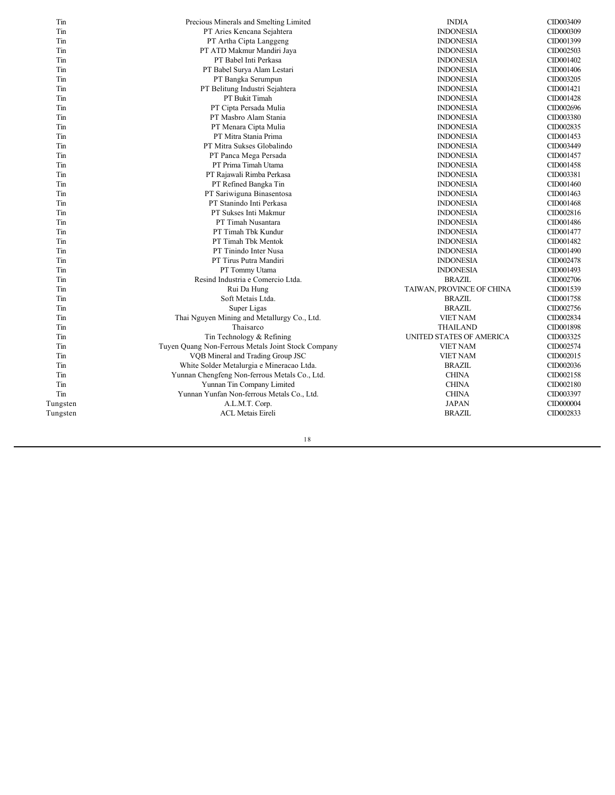| Tin      | Precious Minerals and Smelting Limited             | <b>INDIA</b>              | CID003409 |
|----------|----------------------------------------------------|---------------------------|-----------|
| Tin      | PT Aries Kencana Sejahtera                         | <b>INDONESIA</b>          | CID000309 |
| Tin      | PT Artha Cipta Langgeng                            | <b>INDONESIA</b>          | CID001399 |
| Tin      | PT ATD Makmur Mandiri Jaya                         | <b>INDONESIA</b>          | CID002503 |
| Tin      | PT Babel Inti Perkasa                              | <b>INDONESIA</b>          | CID001402 |
| Tin      | PT Babel Surya Alam Lestari                        | <b>INDONESIA</b>          | CID001406 |
| Tin      | PT Bangka Serumpun                                 | <b>INDONESIA</b>          | CID003205 |
| Tin      | PT Belitung Industri Sejahtera                     | <b>INDONESIA</b>          | CID001421 |
| Tin      | PT Bukit Timah                                     | <b>INDONESIA</b>          | CID001428 |
| Tin      | PT Cipta Persada Mulia                             | <b>INDONESIA</b>          | CID002696 |
| Tin      | PT Masbro Alam Stania                              | <b>INDONESIA</b>          | CID003380 |
| Tin      | PT Menara Cipta Mulia                              | <b>INDONESIA</b>          | CID002835 |
| Tin      | PT Mitra Stania Prima                              | <b>INDONESIA</b>          | CID001453 |
| Tin      | PT Mitra Sukses Globalindo                         | <b>INDONESIA</b>          | CID003449 |
| Tin      | PT Panca Mega Persada                              | <b>INDONESIA</b>          | CID001457 |
| Tin      | PT Prima Timah Utama                               | <b>INDONESIA</b>          | CID001458 |
| Tin      | PT Rajawali Rimba Perkasa                          | <b>INDONESIA</b>          | CID003381 |
| Tin      | PT Refined Bangka Tin                              | <b>INDONESIA</b>          | CID001460 |
| Tin      | PT Sariwiguna Binasentosa                          | <b>INDONESIA</b>          | CID001463 |
| Tin      | PT Stanindo Inti Perkasa                           | <b>INDONESIA</b>          | CID001468 |
| Tin      | PT Sukses Inti Makmur                              | <b>INDONESIA</b>          | CID002816 |
| Tin      | PT Timah Nusantara                                 | <b>INDONESIA</b>          | CID001486 |
| Tin      | PT Timah Tbk Kundur                                | <b>INDONESIA</b>          | CID001477 |
| Tin      | PT Timah Tbk Mentok                                | <b>INDONESIA</b>          | CID001482 |
| Tin      | PT Tinindo Inter Nusa                              | <b>INDONESIA</b>          | CID001490 |
| Tin      | PT Tirus Putra Mandiri                             | <b>INDONESIA</b>          | CID002478 |
| Tin      | PT Tommy Utama                                     | <b>INDONESIA</b>          | CID001493 |
| Tin      | Resind Industria e Comercio Ltda.                  | <b>BRAZIL</b>             | CID002706 |
| Tin      | Rui Da Hung                                        | TAIWAN, PROVINCE OF CHINA | CID001539 |
| Tin      | Soft Metais Ltda.                                  | <b>BRAZIL</b>             | CID001758 |
| Tin      | Super Ligas                                        | <b>BRAZIL</b>             | CID002756 |
| Tin      | Thai Nguyen Mining and Metallurgy Co., Ltd.        | <b>VIET NAM</b>           | CID002834 |
| Tin      | Thaisarco                                          | <b>THAILAND</b>           | CID001898 |
| Tin      | Tin Technology & Refining                          | UNITED STATES OF AMERICA  | CID003325 |
| Tin      | Tuyen Quang Non-Ferrous Metals Joint Stock Company | <b>VIET NAM</b>           | CID002574 |
| Tin      | VQB Mineral and Trading Group JSC                  | <b>VIET NAM</b>           | CID002015 |
| Tin      | White Solder Metalurgia e Mineracao Ltda.          | <b>BRAZIL</b>             | CID002036 |
| Tin      | Yunnan Chengfeng Non-ferrous Metals Co., Ltd.      | <b>CHINA</b>              | CID002158 |
| Tin      | Yunnan Tin Company Limited                         | <b>CHINA</b>              | CID002180 |
| Tin      | Yunnan Yunfan Non-ferrous Metals Co., Ltd.         | <b>CHINA</b>              | CID003397 |
| Tungsten | A.L.M.T. Corp.                                     | <b>JAPAN</b>              | CID000004 |
| Tungsten | <b>ACL Metais Eireli</b>                           | <b>BRAZIL</b>             | CID002833 |
|          |                                                    |                           |           |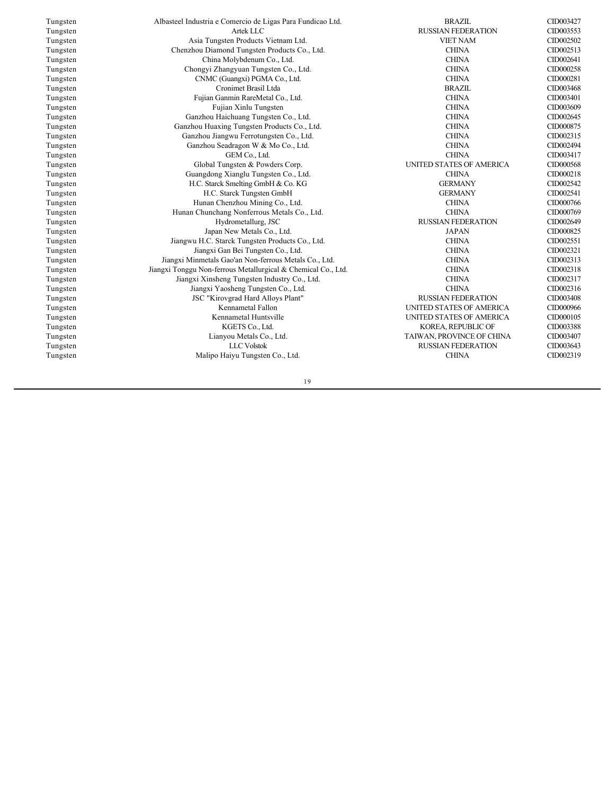| Tungsten | Albasteel Industria e Comercio de Ligas Para Fundicao Ltd.    | <b>BRAZIL</b>             | CID003427 |
|----------|---------------------------------------------------------------|---------------------------|-----------|
| Tungsten | Artek LLC                                                     | <b>RUSSIAN FEDERATION</b> | CID003553 |
| Tungsten | Asia Tungsten Products Vietnam Ltd.                           | <b>VIET NAM</b>           | CID002502 |
| Tungsten | Chenzhou Diamond Tungsten Products Co., Ltd.                  | <b>CHINA</b>              | CID002513 |
| Tungsten | China Molybdenum Co., Ltd.                                    | <b>CHINA</b>              | CID002641 |
| Tungsten | Chongyi Zhangyuan Tungsten Co., Ltd.                          | <b>CHINA</b>              | CID000258 |
| Tungsten | CNMC (Guangxi) PGMA Co., Ltd.                                 | <b>CHINA</b>              | CID000281 |
| Tungsten | Cronimet Brasil Ltda                                          | <b>BRAZIL</b>             | CID003468 |
| Tungsten | Fujian Ganmin RareMetal Co., Ltd.                             | <b>CHINA</b>              | CID003401 |
| Tungsten | Fujian Xinlu Tungsten                                         | <b>CHINA</b>              | CID003609 |
| Tungsten | Ganzhou Haichuang Tungsten Co., Ltd.                          | <b>CHINA</b>              | CID002645 |
| Tungsten | Ganzhou Huaxing Tungsten Products Co., Ltd.                   | <b>CHINA</b>              | CID000875 |
| Tungsten | Ganzhou Jiangwu Ferrotungsten Co., Ltd.                       | <b>CHINA</b>              | CID002315 |
| Tungsten | Ganzhou Seadragon W & Mo Co., Ltd.                            | <b>CHINA</b>              | CID002494 |
| Tungsten | GEM Co., Ltd.                                                 | <b>CHINA</b>              | CID003417 |
| Tungsten | Global Tungsten & Powders Corp.                               | UNITED STATES OF AMERICA  | CID000568 |
| Tungsten | Guangdong Xianglu Tungsten Co., Ltd.                          | <b>CHINA</b>              | CID000218 |
| Tungsten | H.C. Starck Smelting GmbH & Co. KG                            | <b>GERMANY</b>            | CID002542 |
| Tungsten | H.C. Starck Tungsten GmbH                                     | <b>GERMANY</b>            | CID002541 |
| Tungsten | Hunan Chenzhou Mining Co., Ltd.                               | <b>CHINA</b>              | CID000766 |
| Tungsten | Hunan Chunchang Nonferrous Metals Co., Ltd.                   | <b>CHINA</b>              | CID000769 |
| Tungsten | Hydrometallurg, JSC                                           | <b>RUSSIAN FEDERATION</b> | CID002649 |
| Tungsten | Japan New Metals Co., Ltd.                                    | <b>JAPAN</b>              | CID000825 |
| Tungsten | Jiangwu H.C. Starck Tungsten Products Co., Ltd.               | <b>CHINA</b>              | CID002551 |
| Tungsten | Jiangxi Gan Bei Tungsten Co., Ltd.                            | <b>CHINA</b>              | CID002321 |
| Tungsten | Jiangxi Minmetals Gao'an Non-ferrous Metals Co., Ltd.         | <b>CHINA</b>              | CID002313 |
| Tungsten | Jiangxi Tonggu Non-ferrous Metallurgical & Chemical Co., Ltd. | <b>CHINA</b>              | CID002318 |
| Tungsten | Jiangxi Xinsheng Tungsten Industry Co., Ltd.                  | <b>CHINA</b>              | CID002317 |
| Tungsten | Jiangxi Yaosheng Tungsten Co., Ltd.                           | <b>CHINA</b>              | CID002316 |
| Tungsten | JSC "Kirovgrad Hard Alloys Plant"                             | <b>RUSSIAN FEDERATION</b> | CID003408 |
| Tungsten | Kennametal Fallon                                             | UNITED STATES OF AMERICA  | CID000966 |
| Tungsten | Kennametal Huntsville                                         | UNITED STATES OF AMERICA  | CID000105 |
| Tungsten | KGETS Co., Ltd.                                               | KOREA, REPUBLIC OF        | CID003388 |
| Tungsten | Lianyou Metals Co., Ltd.                                      | TAIWAN, PROVINCE OF CHINA | CID003407 |
| Tungsten | <b>LLC</b> Volstok                                            | <b>RUSSIAN FEDERATION</b> | CID003643 |
| Tungsten | Malipo Haiyu Tungsten Co., Ltd.                               | <b>CHINA</b>              | CID002319 |
|          |                                                               |                           |           |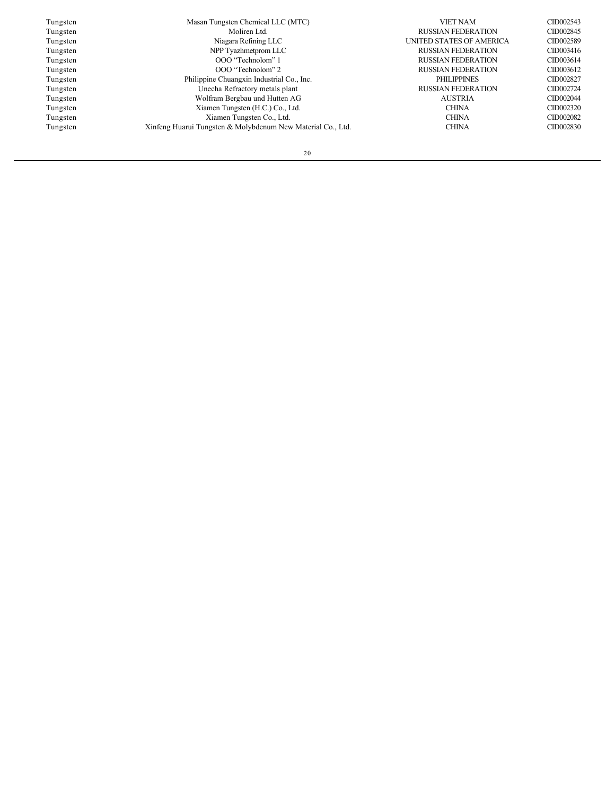Xinfeng Huarui Tungsten & Molybdenum New Material Co., Ltd.

Tungsten Masan Tungsten Masan Tungsten Masan Tungsten Chemical LLC (MTC) VIET NAM VIET NAM CID002543<br>Tungsten Moliren Ltd. Moliren Ltd. RUSSIAN FEDERATION CID002845 Tungsten Moliren Ltd. Moliren Ltd. RUSSIAN FEDERATION CID002845<br>Tungsten Miagara Refining LLC Ningara Refining LLC UNITED STATES OF AMERICA CID002589 Tungsten Niagara Refining LLC UNITED STATES OF AMERICA CID002589 Tungsten Sammen NPP Tyazhmetprom LLC RUSSIAN FEDERATION CID003416<br>
COO "Technolom" 1 RUSSIAN FEDERATION CID003614 Tungsten OOO "Technolom" 1 RUSSIAN FEDERATION CID003614 Tungsten OOO "Technolom" 2 RUSSIAN FEDERATION CID003612 Tungsten 1992 Philippine Chuangxin Industrial Co., Inc. 2008 PHILIPPINES CID002827<br>Tungsten 1992/24 Unecha Refractory metals plant 2008/274 RUSSIAN FEDERATION CID002724 Tungsten Unecha Refractory metals plant RUSSIAN FEDERATION CID002724 Tungsten Wolfram Bergbau und Hutten AG AUSTRIA CID002044 Tungsten Xiamen Tungsten (H.C.) Co., Ltd. CHINA CID002320 Tungsten Xiamen Tungsten Co., Ltd. CHINA CID002082